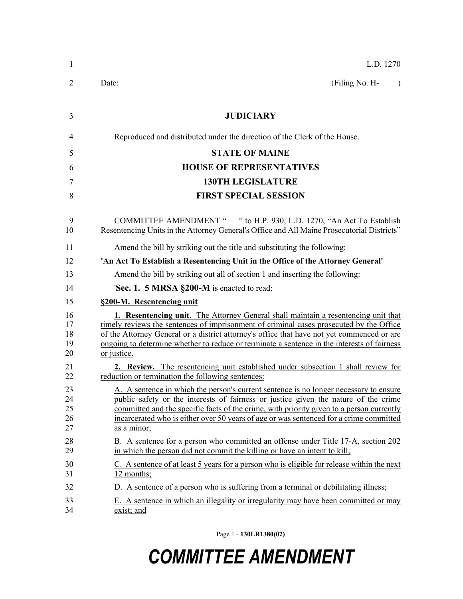| 1                          | L.D. 1270                                                                                                                                                                                                                                                                                                                                                                                        |
|----------------------------|--------------------------------------------------------------------------------------------------------------------------------------------------------------------------------------------------------------------------------------------------------------------------------------------------------------------------------------------------------------------------------------------------|
| $\overline{2}$             | Date:<br>(Filing No. H-<br>$\lambda$                                                                                                                                                                                                                                                                                                                                                             |
| 3                          | <b>JUDICIARY</b>                                                                                                                                                                                                                                                                                                                                                                                 |
| 4                          | Reproduced and distributed under the direction of the Clerk of the House.                                                                                                                                                                                                                                                                                                                        |
| 5                          | <b>STATE OF MAINE</b>                                                                                                                                                                                                                                                                                                                                                                            |
| 6                          | <b>HOUSE OF REPRESENTATIVES</b>                                                                                                                                                                                                                                                                                                                                                                  |
| 7                          | <b>130TH LEGISLATURE</b>                                                                                                                                                                                                                                                                                                                                                                         |
| 8                          | <b>FIRST SPECIAL SESSION</b>                                                                                                                                                                                                                                                                                                                                                                     |
| 9<br>10                    | COMMITTEE AMENDMENT " " to H.P. 930, L.D. 1270, "An Act To Establish<br>Resentencing Units in the Attorney General's Office and All Maine Prosecutorial Districts"                                                                                                                                                                                                                               |
| 11                         | Amend the bill by striking out the title and substituting the following:                                                                                                                                                                                                                                                                                                                         |
| 12                         | 'An Act To Establish a Resentencing Unit in the Office of the Attorney General'                                                                                                                                                                                                                                                                                                                  |
| 13                         | Amend the bill by striking out all of section 1 and inserting the following:                                                                                                                                                                                                                                                                                                                     |
| 14                         | <b>Sec. 1. 5 MRSA §200-M</b> is enacted to read:                                                                                                                                                                                                                                                                                                                                                 |
| 15                         | §200-M. Resentencing unit                                                                                                                                                                                                                                                                                                                                                                        |
| 16<br>17<br>18<br>19<br>20 | <b>1. Resentencing unit.</b> The Attorney General shall maintain a resentencing unit that<br>timely reviews the sentences of imprisonment of criminal cases prosecuted by the Office<br>of the Attorney General or a district attorney's office that have not yet commenced or are<br>ongoing to determine whether to reduce or terminate a sentence in the interests of fairness<br>or justice. |
| 21<br>22                   | <b>2. Review.</b> The resentencing unit established under subsection 1 shall review for<br>reduction or termination the following sentences:                                                                                                                                                                                                                                                     |
| 23<br>24<br>25<br>26<br>27 | A. A sentence in which the person's current sentence is no longer necessary to ensure<br>public safety or the interests of fairness or justice given the nature of the crime<br>committed and the specific facts of the crime, with priority given to a person currently<br>incarcerated who is either over 50 years of age or was sentenced for a crime committed<br>as a minor;                |
| 28<br>29                   | B. A sentence for a person who committed an offense under Title 17-A, section 202<br>in which the person did not commit the killing or have an intent to kill;                                                                                                                                                                                                                                   |
| 30<br>31                   | C. A sentence of at least 5 years for a person who is eligible for release within the next<br>12 months;                                                                                                                                                                                                                                                                                         |
| 32                         | D. A sentence of a person who is suffering from a terminal or debilitating illness;                                                                                                                                                                                                                                                                                                              |
| 33<br>34                   | E. A sentence in which an illegality or irregularity may have been committed or may<br>exist; and                                                                                                                                                                                                                                                                                                |

Page 1 - **130LR1380(02)**

## *COMMITTEE AMENDMENT*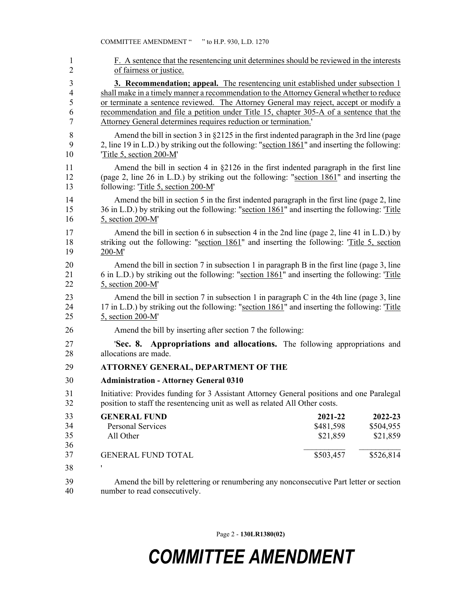| $\mathbf{1}$             | F. A sentence that the resentencing unit determines should be reviewed in the interests                                       |
|--------------------------|-------------------------------------------------------------------------------------------------------------------------------|
| $\overline{c}$           | of fairness or justice.                                                                                                       |
| 3                        | 3. Recommendation; appeal. The resentencing unit established under subsection 1                                               |
| $\overline{\mathcal{L}}$ | shall make in a timely manner a recommendation to the Attorney General whether to reduce                                      |
| 5                        | or terminate a sentence reviewed. The Attorney General may reject, accept or modify a                                         |
| 6                        | recommendation and file a petition under Title 15, chapter 305-A of a sentence that the                                       |
| 7                        | Attorney General determines requires reduction or termination."                                                               |
| $\,$ $\,$                | Amend the bill in section 3 in $\S2125$ in the first indented paragraph in the 3rd line (page                                 |
| 9                        | 2, line 19 in L.D.) by striking out the following: "section 1861" and inserting the following:                                |
| 10                       | Title 5, section 200-M'                                                                                                       |
| 11                       | Amend the bill in section 4 in $\S2126$ in the first indented paragraph in the first line                                     |
| 12                       | (page 2, line 26 in L.D.) by striking out the following: "section 1861" and inserting the                                     |
| 13                       | following: 'Title 5, section 200-M'                                                                                           |
| 14                       | Amend the bill in section 5 in the first indented paragraph in the first line (page 2, line                                   |
| 15                       | 36 in L.D.) by striking out the following: "section 1861" and inserting the following: Title                                  |
| 16                       | 5, section 200-M'                                                                                                             |
| 17                       | Amend the bill in section 6 in subsection 4 in the 2nd line (page 2, line 41 in L.D.) by                                      |
| 18                       | striking out the following: "section 1861" and inserting the following: 'Title 5, section                                     |
| 19                       | $200-M'$                                                                                                                      |
| 20                       | Amend the bill in section 7 in subsection 1 in paragraph B in the first line (page 3, line                                    |
| 21                       | 6 in L.D.) by striking out the following: "section 1861" and inserting the following: 'Title                                  |
| 22                       | 5, section 200-M'                                                                                                             |
| 23                       | Amend the bill in section 7 in subsection 1 in paragraph C in the 4th line (page 3, line                                      |
| 24                       | 17 in L.D.) by striking out the following: "section 1861" and inserting the following: 'Title                                 |
| 25                       | 5, section 200-M'                                                                                                             |
| 26                       | Amend the bill by inserting after section 7 the following:                                                                    |
| 27                       | <b>Sec. 8. Appropriations and allocations.</b> The following appropriations and                                               |
| 28                       | allocations are made.                                                                                                         |
| 29                       | <b>ATTORNEY GENERAL, DEPARTMENT OF THE</b>                                                                                    |
| 30                       | <b>Administration - Attorney General 0310</b>                                                                                 |
| 31                       | Initiative: Provides funding for 3 Assistant Attorney General positions and one Paralegal                                     |
| 32                       | position to staff the resentencing unit as well as related All Other costs.                                                   |
| 33<br>34<br>35<br>36     | <b>GENERAL FUND</b><br>2021-22<br>2022-23<br>\$481,598<br>Personal Services<br>\$504,955<br>All Other<br>\$21,859<br>\$21,859 |
| 37                       | \$503,457<br>\$526,814<br><b>GENERAL FUND TOTAL</b>                                                                           |
| 38                       |                                                                                                                               |
| 39                       | Amend the bill by relettering or renumbering any nonconsecutive Part letter or section                                        |
| 40                       | number to read consecutively.                                                                                                 |

Page 2 - **130LR1380(02)**

## *COMMITTEE AMENDMENT*